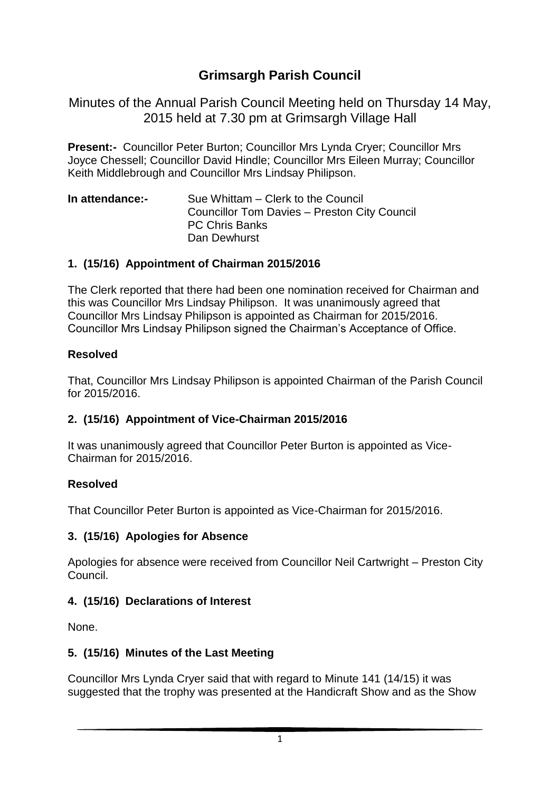# **Grimsargh Parish Council**

Minutes of the Annual Parish Council Meeting held on Thursday 14 May, 2015 held at 7.30 pm at Grimsargh Village Hall

**Present:-** Councillor Peter Burton; Councillor Mrs Lynda Cryer; Councillor Mrs Joyce Chessell; Councillor David Hindle; Councillor Mrs Eileen Murray; Councillor Keith Middlebrough and Councillor Mrs Lindsay Philipson.

**In attendance:-** Sue Whittam – Clerk to the Council Councillor Tom Davies – Preston City Council PC Chris Banks Dan Dewhurst

### **1. (15/16) Appointment of Chairman 2015/2016**

The Clerk reported that there had been one nomination received for Chairman and this was Councillor Mrs Lindsay Philipson. It was unanimously agreed that Councillor Mrs Lindsay Philipson is appointed as Chairman for 2015/2016. Councillor Mrs Lindsay Philipson signed the Chairman's Acceptance of Office.

### **Resolved**

That, Councillor Mrs Lindsay Philipson is appointed Chairman of the Parish Council for 2015/2016.

### **2. (15/16) Appointment of Vice-Chairman 2015/2016**

It was unanimously agreed that Councillor Peter Burton is appointed as Vice-Chairman for 2015/2016.

### **Resolved**

That Councillor Peter Burton is appointed as Vice-Chairman for 2015/2016.

### **3. (15/16) Apologies for Absence**

Apologies for absence were received from Councillor Neil Cartwright – Preston City Council.

## **4. (15/16) Declarations of Interest**

None.

### **5. (15/16) Minutes of the Last Meeting**

Councillor Mrs Lynda Cryer said that with regard to Minute 141 (14/15) it was suggested that the trophy was presented at the Handicraft Show and as the Show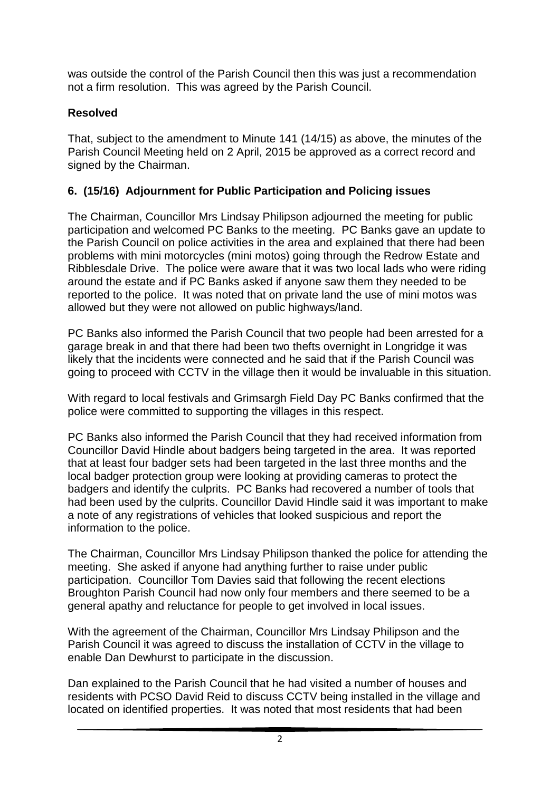was outside the control of the Parish Council then this was just a recommendation not a firm resolution. This was agreed by the Parish Council.

## **Resolved**

That, subject to the amendment to Minute 141 (14/15) as above, the minutes of the Parish Council Meeting held on 2 April, 2015 be approved as a correct record and signed by the Chairman.

# **6. (15/16) Adjournment for Public Participation and Policing issues**

The Chairman, Councillor Mrs Lindsay Philipson adjourned the meeting for public participation and welcomed PC Banks to the meeting. PC Banks gave an update to the Parish Council on police activities in the area and explained that there had been problems with mini motorcycles (mini motos) going through the Redrow Estate and Ribblesdale Drive. The police were aware that it was two local lads who were riding around the estate and if PC Banks asked if anyone saw them they needed to be reported to the police. It was noted that on private land the use of mini motos was allowed but they were not allowed on public highways/land.

PC Banks also informed the Parish Council that two people had been arrested for a garage break in and that there had been two thefts overnight in Longridge it was likely that the incidents were connected and he said that if the Parish Council was going to proceed with CCTV in the village then it would be invaluable in this situation.

With regard to local festivals and Grimsargh Field Day PC Banks confirmed that the police were committed to supporting the villages in this respect.

PC Banks also informed the Parish Council that they had received information from Councillor David Hindle about badgers being targeted in the area. It was reported that at least four badger sets had been targeted in the last three months and the local badger protection group were looking at providing cameras to protect the badgers and identify the culprits. PC Banks had recovered a number of tools that had been used by the culprits. Councillor David Hindle said it was important to make a note of any registrations of vehicles that looked suspicious and report the information to the police.

The Chairman, Councillor Mrs Lindsay Philipson thanked the police for attending the meeting. She asked if anyone had anything further to raise under public participation. Councillor Tom Davies said that following the recent elections Broughton Parish Council had now only four members and there seemed to be a general apathy and reluctance for people to get involved in local issues.

With the agreement of the Chairman, Councillor Mrs Lindsay Philipson and the Parish Council it was agreed to discuss the installation of CCTV in the village to enable Dan Dewhurst to participate in the discussion.

Dan explained to the Parish Council that he had visited a number of houses and residents with PCSO David Reid to discuss CCTV being installed in the village and located on identified properties. It was noted that most residents that had been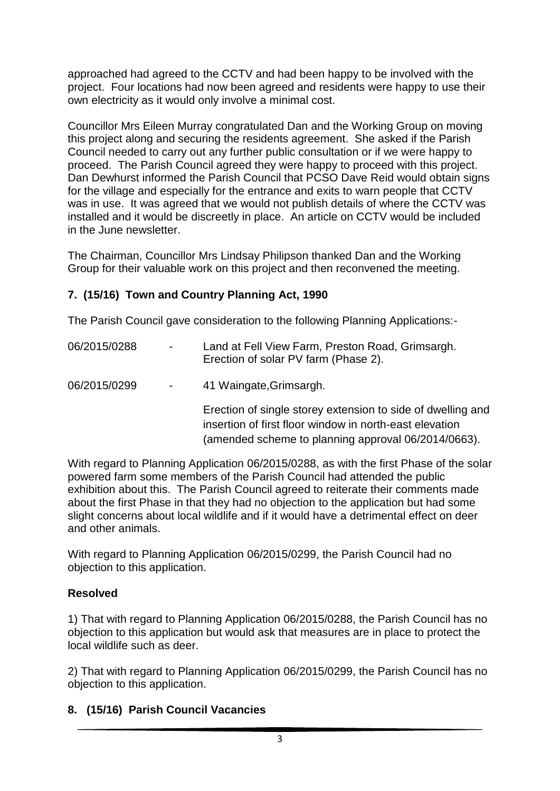approached had agreed to the CCTV and had been happy to be involved with the project. Four locations had now been agreed and residents were happy to use their own electricity as it would only involve a minimal cost.

Councillor Mrs Eileen Murray congratulated Dan and the Working Group on moving this project along and securing the residents agreement. She asked if the Parish Council needed to carry out any further public consultation or if we were happy to proceed. The Parish Council agreed they were happy to proceed with this project. Dan Dewhurst informed the Parish Council that PCSO Dave Reid would obtain signs for the village and especially for the entrance and exits to warn people that CCTV was in use. It was agreed that we would not publish details of where the CCTV was installed and it would be discreetly in place. An article on CCTV would be included in the June newsletter.

The Chairman, Councillor Mrs Lindsay Philipson thanked Dan and the Working Group for their valuable work on this project and then reconvened the meeting.

### **7. (15/16) Town and Country Planning Act, 1990**

The Parish Council gave consideration to the following Planning Applications:-

- 06/2015/0288 Land at Fell View Farm, Preston Road, Grimsargh. Erection of solar PV farm (Phase 2).
- 06/2015/0299 41 Waingate, Grimsargh.

Erection of single storey extension to side of dwelling and insertion of first floor window in north-east elevation (amended scheme to planning approval 06/2014/0663).

With regard to Planning Application 06/2015/0288, as with the first Phase of the solar powered farm some members of the Parish Council had attended the public exhibition about this. The Parish Council agreed to reiterate their comments made about the first Phase in that they had no objection to the application but had some slight concerns about local wildlife and if it would have a detrimental effect on deer and other animals.

With regard to Planning Application 06/2015/0299, the Parish Council had no objection to this application.

### **Resolved**

1) That with regard to Planning Application 06/2015/0288, the Parish Council has no objection to this application but would ask that measures are in place to protect the local wildlife such as deer.

2) That with regard to Planning Application 06/2015/0299, the Parish Council has no objection to this application.

### **8. (15/16) Parish Council Vacancies**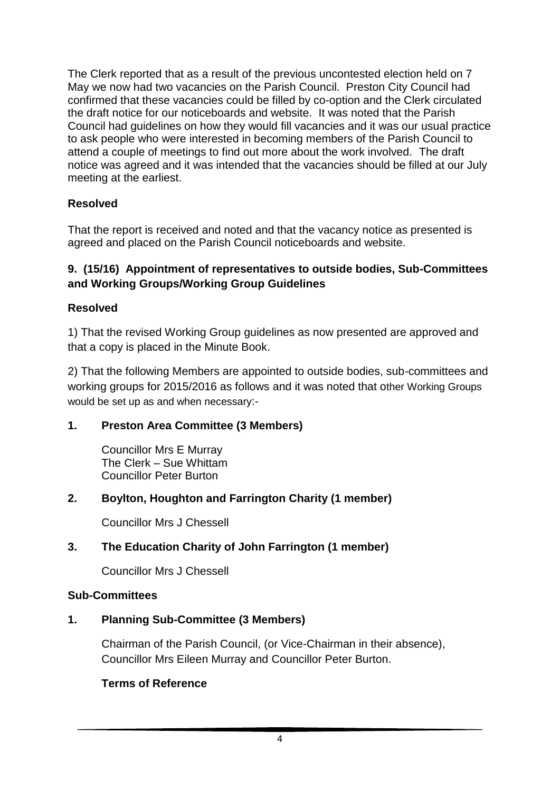The Clerk reported that as a result of the previous uncontested election held on 7 May we now had two vacancies on the Parish Council. Preston City Council had confirmed that these vacancies could be filled by co-option and the Clerk circulated the draft notice for our noticeboards and website. It was noted that the Parish Council had guidelines on how they would fill vacancies and it was our usual practice to ask people who were interested in becoming members of the Parish Council to attend a couple of meetings to find out more about the work involved. The draft notice was agreed and it was intended that the vacancies should be filled at our July meeting at the earliest.

### **Resolved**

That the report is received and noted and that the vacancy notice as presented is agreed and placed on the Parish Council noticeboards and website.

#### **9. (15/16) Appointment of representatives to outside bodies, Sub-Committees and Working Groups/Working Group Guidelines**

#### **Resolved**

1) That the revised Working Group guidelines as now presented are approved and that a copy is placed in the Minute Book.

2) That the following Members are appointed to outside bodies, sub-committees and working groups for 2015/2016 as follows and it was noted that other Working Groups would be set up as and when necessary:-

### **1. Preston Area Committee (3 Members)**

Councillor Mrs E Murray The Clerk – Sue Whittam Councillor Peter Burton

### **2. Boylton, Houghton and Farrington Charity (1 member)**

Councillor Mrs J Chessell

### **3. The Education Charity of John Farrington (1 member)**

Councillor Mrs J Chessell

#### **Sub-Committees**

#### **1. Planning Sub-Committee (3 Members)**

Chairman of the Parish Council, (or Vice-Chairman in their absence), Councillor Mrs Eileen Murray and Councillor Peter Burton.

#### **Terms of Reference**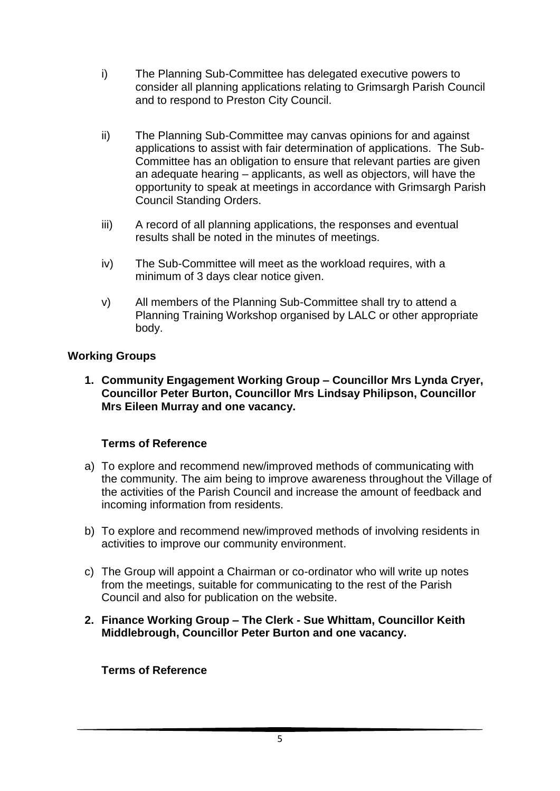- i) The Planning Sub-Committee has delegated executive powers to consider all planning applications relating to Grimsargh Parish Council and to respond to Preston City Council.
- ii) The Planning Sub-Committee may canvas opinions for and against applications to assist with fair determination of applications. The Sub-Committee has an obligation to ensure that relevant parties are given an adequate hearing – applicants, as well as objectors, will have the opportunity to speak at meetings in accordance with Grimsargh Parish Council Standing Orders.
- iii) A record of all planning applications, the responses and eventual results shall be noted in the minutes of meetings.
- iv) The Sub-Committee will meet as the workload requires, with a minimum of 3 days clear notice given.
- v) All members of the Planning Sub-Committee shall try to attend a Planning Training Workshop organised by LALC or other appropriate body.

#### **Working Groups**

**1. Community Engagement Working Group – Councillor Mrs Lynda Cryer, Councillor Peter Burton, Councillor Mrs Lindsay Philipson, Councillor Mrs Eileen Murray and one vacancy.** 

### **Terms of Reference**

- a) To explore and recommend new/improved methods of communicating with the community. The aim being to improve awareness throughout the Village of the activities of the Parish Council and increase the amount of feedback and incoming information from residents.
- b) To explore and recommend new/improved methods of involving residents in activities to improve our community environment.
- c) The Group will appoint a Chairman or co-ordinator who will write up notes from the meetings, suitable for communicating to the rest of the Parish Council and also for publication on the website.
- **2. Finance Working Group – The Clerk - Sue Whittam, Councillor Keith Middlebrough, Councillor Peter Burton and one vacancy.**

#### **Terms of Reference**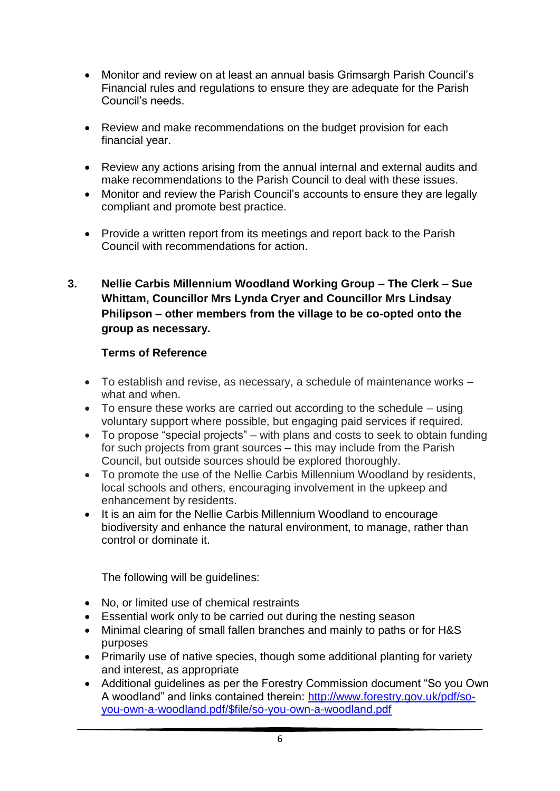- Monitor and review on at least an annual basis Grimsargh Parish Council's Financial rules and regulations to ensure they are adequate for the Parish Council's needs.
- Review and make recommendations on the budget provision for each financial year.
- Review any actions arising from the annual internal and external audits and make recommendations to the Parish Council to deal with these issues.
- Monitor and review the Parish Council's accounts to ensure they are legally compliant and promote best practice.
- Provide a written report from its meetings and report back to the Parish Council with recommendations for action.
- **3. Nellie Carbis Millennium Woodland Working Group – The Clerk – Sue Whittam, Councillor Mrs Lynda Cryer and Councillor Mrs Lindsay Philipson – other members from the village to be co-opted onto the group as necessary.**

#### **Terms of Reference**

- To establish and revise, as necessary, a schedule of maintenance works what and when.
- To ensure these works are carried out according to the schedule using voluntary support where possible, but engaging paid services if required.
- To propose "special projects" with plans and costs to seek to obtain funding for such projects from grant sources – this may include from the Parish Council, but outside sources should be explored thoroughly.
- To promote the use of the Nellie Carbis Millennium Woodland by residents, local schools and others, encouraging involvement in the upkeep and enhancement by residents.
- It is an aim for the Nellie Carbis Millennium Woodland to encourage biodiversity and enhance the natural environment, to manage, rather than control or dominate it.

The following will be guidelines:

- No, or limited use of chemical restraints
- Essential work only to be carried out during the nesting season
- Minimal clearing of small fallen branches and mainly to paths or for H&S purposes
- Primarily use of native species, though some additional planting for variety and interest, as appropriate
- Additional guidelines as per the Forestry Commission document "So you Own A woodland" and links contained therein: [http://www.forestry.gov.uk/pdf/so](http://www.forestry.gov.uk/pdf/so-you-own-a-woodland.pdf/$file/so-you-own-a-woodland.pdf)[you-own-a-woodland.pdf/\\$file/so-you-own-a-woodland.pdf](http://www.forestry.gov.uk/pdf/so-you-own-a-woodland.pdf/$file/so-you-own-a-woodland.pdf)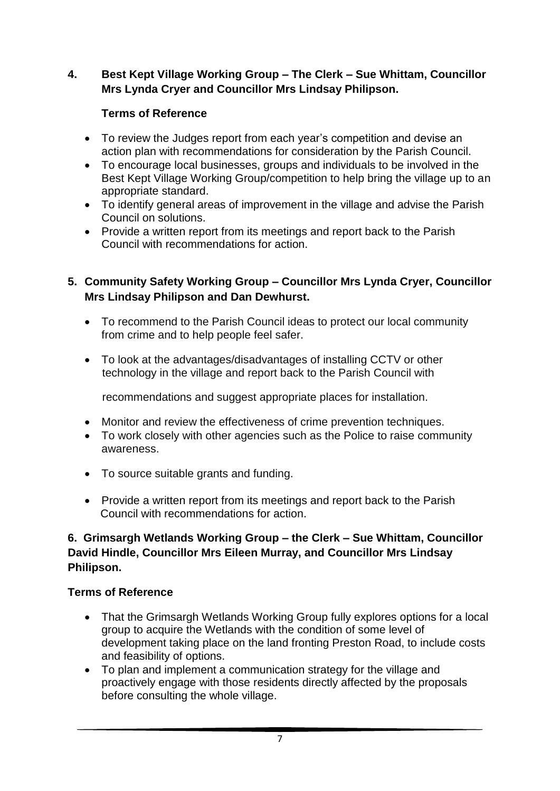### **4. Best Kept Village Working Group – The Clerk – Sue Whittam, Councillor Mrs Lynda Cryer and Councillor Mrs Lindsay Philipson.**

### **Terms of Reference**

- To review the Judges report from each year's competition and devise an action plan with recommendations for consideration by the Parish Council.
- To encourage local businesses, groups and individuals to be involved in the Best Kept Village Working Group/competition to help bring the village up to an appropriate standard.
- To identify general areas of improvement in the village and advise the Parish Council on solutions.
- Provide a written report from its meetings and report back to the Parish Council with recommendations for action.

### **5. Community Safety Working Group – Councillor Mrs Lynda Cryer, Councillor Mrs Lindsay Philipson and Dan Dewhurst.**

- To recommend to the Parish Council ideas to protect our local community from crime and to help people feel safer.
- To look at the advantages/disadvantages of installing CCTV or other technology in the village and report back to the Parish Council with

recommendations and suggest appropriate places for installation.

- Monitor and review the effectiveness of crime prevention techniques.
- To work closely with other agencies such as the Police to raise community awareness.
- To source suitable grants and funding.
- Provide a written report from its meetings and report back to the Parish Council with recommendations for action.

#### **6. Grimsargh Wetlands Working Group – the Clerk – Sue Whittam, Councillor David Hindle, Councillor Mrs Eileen Murray, and Councillor Mrs Lindsay Philipson.**

### **Terms of Reference**

- That the Grimsargh Wetlands Working Group fully explores options for a local group to acquire the Wetlands with the condition of some level of development taking place on the land fronting Preston Road, to include costs and feasibility of options.
- To plan and implement a communication strategy for the village and proactively engage with those residents directly affected by the proposals before consulting the whole village.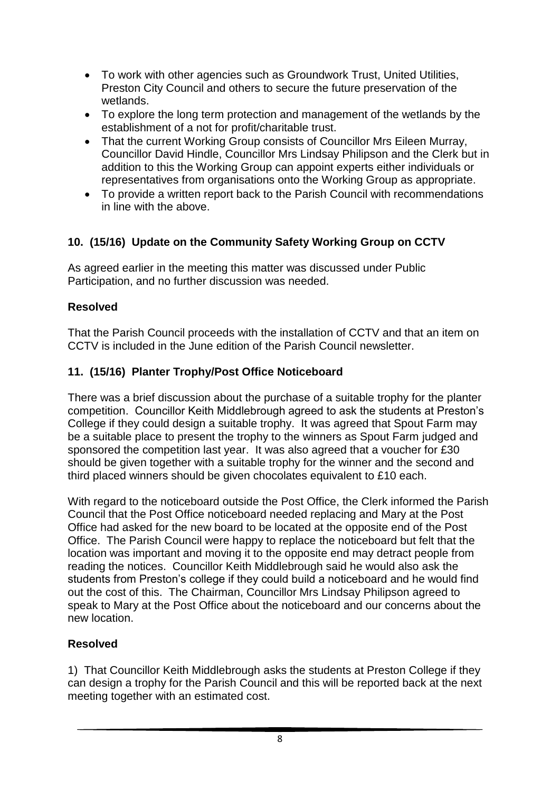- To work with other agencies such as Groundwork Trust, United Utilities, Preston City Council and others to secure the future preservation of the wetlands.
- To explore the long term protection and management of the wetlands by the establishment of a not for profit/charitable trust.
- That the current Working Group consists of Councillor Mrs Eileen Murray, Councillor David Hindle, Councillor Mrs Lindsay Philipson and the Clerk but in addition to this the Working Group can appoint experts either individuals or representatives from organisations onto the Working Group as appropriate.
- To provide a written report back to the Parish Council with recommendations in line with the above.

## **10. (15/16) Update on the Community Safety Working Group on CCTV**

As agreed earlier in the meeting this matter was discussed under Public Participation, and no further discussion was needed.

### **Resolved**

That the Parish Council proceeds with the installation of CCTV and that an item on CCTV is included in the June edition of the Parish Council newsletter.

## **11. (15/16) Planter Trophy/Post Office Noticeboard**

There was a brief discussion about the purchase of a suitable trophy for the planter competition. Councillor Keith Middlebrough agreed to ask the students at Preston's College if they could design a suitable trophy. It was agreed that Spout Farm may be a suitable place to present the trophy to the winners as Spout Farm judged and sponsored the competition last year. It was also agreed that a voucher for £30 should be given together with a suitable trophy for the winner and the second and third placed winners should be given chocolates equivalent to £10 each.

With regard to the noticeboard outside the Post Office, the Clerk informed the Parish Council that the Post Office noticeboard needed replacing and Mary at the Post Office had asked for the new board to be located at the opposite end of the Post Office. The Parish Council were happy to replace the noticeboard but felt that the location was important and moving it to the opposite end may detract people from reading the notices. Councillor Keith Middlebrough said he would also ask the students from Preston's college if they could build a noticeboard and he would find out the cost of this. The Chairman, Councillor Mrs Lindsay Philipson agreed to speak to Mary at the Post Office about the noticeboard and our concerns about the new location.

### **Resolved**

1) That Councillor Keith Middlebrough asks the students at Preston College if they can design a trophy for the Parish Council and this will be reported back at the next meeting together with an estimated cost.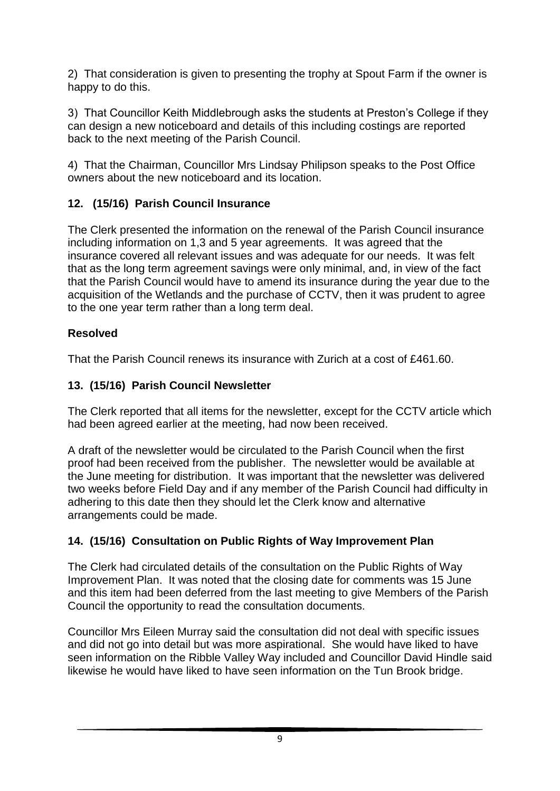2) That consideration is given to presenting the trophy at Spout Farm if the owner is happy to do this.

3) That Councillor Keith Middlebrough asks the students at Preston's College if they can design a new noticeboard and details of this including costings are reported back to the next meeting of the Parish Council.

4) That the Chairman, Councillor Mrs Lindsay Philipson speaks to the Post Office owners about the new noticeboard and its location.

# **12. (15/16) Parish Council Insurance**

The Clerk presented the information on the renewal of the Parish Council insurance including information on 1,3 and 5 year agreements. It was agreed that the insurance covered all relevant issues and was adequate for our needs. It was felt that as the long term agreement savings were only minimal, and, in view of the fact that the Parish Council would have to amend its insurance during the year due to the acquisition of the Wetlands and the purchase of CCTV, then it was prudent to agree to the one year term rather than a long term deal.

# **Resolved**

That the Parish Council renews its insurance with Zurich at a cost of £461.60.

## **13. (15/16) Parish Council Newsletter**

The Clerk reported that all items for the newsletter, except for the CCTV article which had been agreed earlier at the meeting, had now been received.

A draft of the newsletter would be circulated to the Parish Council when the first proof had been received from the publisher. The newsletter would be available at the June meeting for distribution. It was important that the newsletter was delivered two weeks before Field Day and if any member of the Parish Council had difficulty in adhering to this date then they should let the Clerk know and alternative arrangements could be made.

# **14. (15/16) Consultation on Public Rights of Way Improvement Plan**

The Clerk had circulated details of the consultation on the Public Rights of Way Improvement Plan. It was noted that the closing date for comments was 15 June and this item had been deferred from the last meeting to give Members of the Parish Council the opportunity to read the consultation documents.

Councillor Mrs Eileen Murray said the consultation did not deal with specific issues and did not go into detail but was more aspirational. She would have liked to have seen information on the Ribble Valley Way included and Councillor David Hindle said likewise he would have liked to have seen information on the Tun Brook bridge.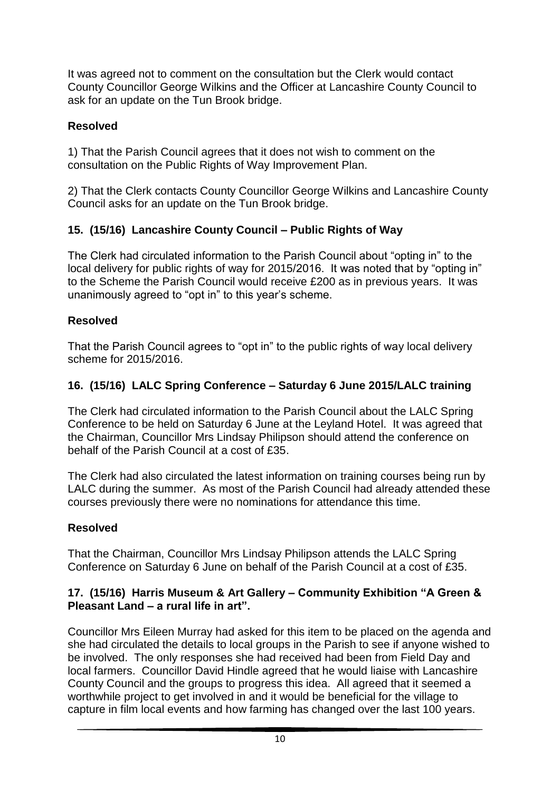It was agreed not to comment on the consultation but the Clerk would contact County Councillor George Wilkins and the Officer at Lancashire County Council to ask for an update on the Tun Brook bridge.

## **Resolved**

1) That the Parish Council agrees that it does not wish to comment on the consultation on the Public Rights of Way Improvement Plan.

2) That the Clerk contacts County Councillor George Wilkins and Lancashire County Council asks for an update on the Tun Brook bridge.

# **15. (15/16) Lancashire County Council – Public Rights of Way**

The Clerk had circulated information to the Parish Council about "opting in" to the local delivery for public rights of way for 2015/2016. It was noted that by "opting in" to the Scheme the Parish Council would receive £200 as in previous years. It was unanimously agreed to "opt in" to this year's scheme.

# **Resolved**

That the Parish Council agrees to "opt in" to the public rights of way local delivery scheme for 2015/2016.

# **16. (15/16) LALC Spring Conference – Saturday 6 June 2015/LALC training**

The Clerk had circulated information to the Parish Council about the LALC Spring Conference to be held on Saturday 6 June at the Leyland Hotel. It was agreed that the Chairman, Councillor Mrs Lindsay Philipson should attend the conference on behalf of the Parish Council at a cost of £35.

The Clerk had also circulated the latest information on training courses being run by LALC during the summer. As most of the Parish Council had already attended these courses previously there were no nominations for attendance this time.

# **Resolved**

That the Chairman, Councillor Mrs Lindsay Philipson attends the LALC Spring Conference on Saturday 6 June on behalf of the Parish Council at a cost of £35.

### **17. (15/16) Harris Museum & Art Gallery – Community Exhibition "A Green & Pleasant Land – a rural life in art".**

Councillor Mrs Eileen Murray had asked for this item to be placed on the agenda and she had circulated the details to local groups in the Parish to see if anyone wished to be involved. The only responses she had received had been from Field Day and local farmers. Councillor David Hindle agreed that he would liaise with Lancashire County Council and the groups to progress this idea. All agreed that it seemed a worthwhile project to get involved in and it would be beneficial for the village to capture in film local events and how farming has changed over the last 100 years.